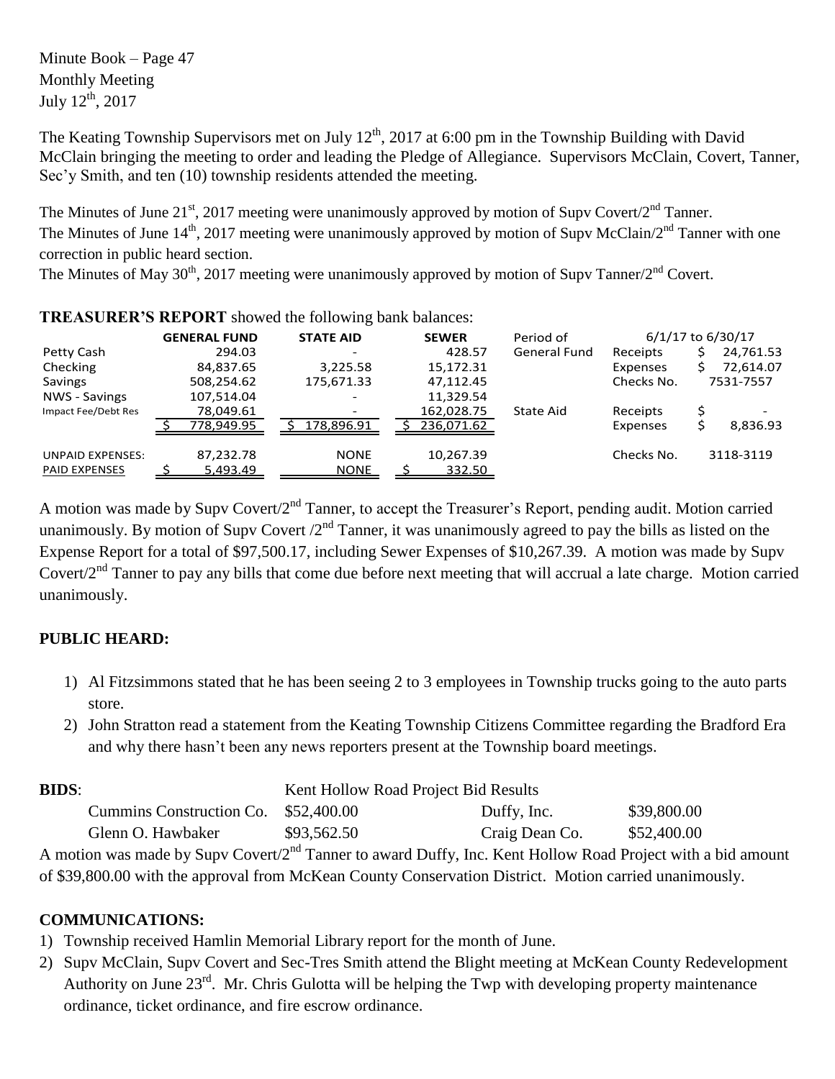Minute Book – Page 47 Monthly Meeting July  $12^{\text{th}}$ , 2017

The Keating Township Supervisors met on July  $12^{th}$ , 2017 at 6:00 pm in the Township Building with David McClain bringing the meeting to order and leading the Pledge of Allegiance. Supervisors McClain, Covert, Tanner, Sec'y Smith, and ten (10) township residents attended the meeting.

The Minutes of June  $21^{st}$ , 2017 meeting were unanimously approved by motion of Supv Covert/ $2^{nd}$  Tanner. The Minutes of June  $14^{\text{th}}$ , 2017 meeting were unanimously approved by motion of Supv McClain/2<sup>nd</sup> Tanner with one correction in public heard section.

The Minutes of May 30<sup>th</sup>, 2017 meeting were unanimously approved by motion of Supv Tanner/2<sup>nd</sup> Covert.

|                         | <b>GENERAL FUND</b> |            | <b>STATE AID</b> |                          | <b>SEWER</b> |            | Period of    | 6/1/17 to 6/30/17 |           |           |  |
|-------------------------|---------------------|------------|------------------|--------------------------|--------------|------------|--------------|-------------------|-----------|-----------|--|
| Petty Cash              |                     | 294.03     |                  |                          |              | 428.57     | General Fund | Receipts          |           | 24,761.53 |  |
| Checking                |                     | 84,837.65  |                  | 3,225.58                 |              | 15,172.31  |              | Expenses          |           | 72,614.07 |  |
| Savings                 | 508,254.62          |            | 175,671.33       |                          |              | 47,112.45  |              | Checks No.        | 7531-7557 |           |  |
| NWS - Savings           |                     | 107,514.04 |                  | $\overline{\phantom{0}}$ |              | 11,329.54  |              |                   |           |           |  |
| Impact Fee/Debt Res     |                     | 78,049.61  |                  | -                        |              | 162,028.75 | State Aid    | Receipts          |           |           |  |
|                         |                     | 778,949.95 |                  | 178,896.91               |              | 236,071.62 |              | Expenses          |           | 8,836.93  |  |
| <b>UNPAID EXPENSES:</b> | 87,232.78           |            |                  | <b>NONE</b>              |              | 10,267.39  |              | Checks No.        |           | 3118-3119 |  |
| <b>PAID EXPENSES</b>    |                     | 5.493.49   |                  | <b>NONE</b>              |              | 332.50     |              |                   |           |           |  |

**TREASURER'S REPORT** showed the following bank balances:

A motion was made by Supv Covert/2<sup>nd</sup> Tanner, to accept the Treasurer's Report, pending audit. Motion carried unanimously. By motion of Supv Covert  $2<sup>nd</sup>$  Tanner, it was unanimously agreed to pay the bills as listed on the Expense Report for a total of \$97,500.17, including Sewer Expenses of \$10,267.39. A motion was made by Supv Covert/2<sup>nd</sup> Tanner to pay any bills that come due before next meeting that will accrual a late charge. Motion carried unanimously.

## **PUBLIC HEARD:**

- 1) Al Fitzsimmons stated that he has been seeing 2 to 3 employees in Township trucks going to the auto parts store.
- 2) John Stratton read a statement from the Keating Township Citizens Committee regarding the Bradford Era and why there hasn't been any news reporters present at the Township board meetings.

| <b>BIDS:</b> |                                                                                                                 | Kent Hollow Road Project Bid Results |                |             |
|--------------|-----------------------------------------------------------------------------------------------------------------|--------------------------------------|----------------|-------------|
|              | Cummins Construction Co. \$52,400.00                                                                            |                                      | Duffy, Inc.    | \$39,800.00 |
|              | Glenn O. Hawbaker                                                                                               | \$93,562.50                          | Craig Dean Co. | \$52,400.00 |
|              | A motion was made by Supy Covert/2 <sup>nd</sup> Tanner to award Duffy Inc. Kent Hollow Road Project with a big |                                      |                |             |

In was made by Supv Covert/2<sup>nd</sup> Tanner to award Duffy, Inc. Kent Hollow Road Project with a bid amount of \$39,800.00 with the approval from McKean County Conservation District. Motion carried unanimously.

## **COMMUNICATIONS:**

- 1) Township received Hamlin Memorial Library report for the month of June.
- 2) Supv McClain, Supv Covert and Sec-Tres Smith attend the Blight meeting at McKean County Redevelopment Authority on June  $23^{\text{rd}}$ . Mr. Chris Gulotta will be helping the Twp with developing property maintenance ordinance, ticket ordinance, and fire escrow ordinance.